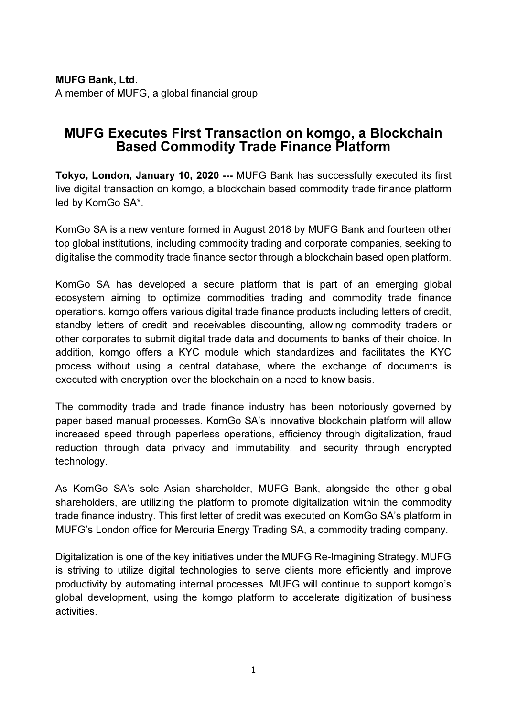## MUFG Bank, Ltd. A member of MUFG, a global financial group

## MUFG Executes First Transaction on komgo, a Blockchain Based Commodity Trade Finance Platform

Tokyo, London, January 10, 2020 --- MUFG Bank has successfully executed its first live digital transaction on komgo, a blockchain based commodity trade finance platform led by KomGo SA\*.

KomGo SA is a new venture formed in August 2018 by MUFG Bank and fourteen other top global institutions, including commodity trading and corporate companies, seeking to digitalise the commodity trade finance sector through a blockchain based open platform.

KomGo SA has developed a secure platform that is part of an emerging global ecosystem aiming to optimize commodities trading and commodity trade finance operations. komgo offers various digital trade finance products including letters of credit, standby letters of credit and receivables discounting, allowing commodity traders or other corporates to submit digital trade data and documents to banks of their choice. In addition, komgo offers a KYC module which standardizes and facilitates the KYC process without using a central database, where the exchange of documents is executed with encryption over the blockchain on a need to know basis.

The commodity trade and trade finance industry has been notoriously governed by paper based manual processes. KomGo SA's innovative blockchain platform will allow increased speed through paperless operations, efficiency through digitalization, fraud reduction through data privacy and immutability, and security through encrypted technology.

As KomGo SA's sole Asian shareholder, MUFG Bank, alongside the other global shareholders, are utilizing the platform to promote digitalization within the commodity trade finance industry. This first letter of credit was executed on KomGo SA's platform in MUFG's London office for Mercuria Energy Trading SA, a commodity trading company.

Digitalization is one of the key initiatives under the MUFG Re-Imagining Strategy. MUFG is striving to utilize digital technologies to serve clients more efficiently and improve productivity by automating internal processes. MUFG will continue to support komgo's global development, using the komgo platform to accelerate digitization of business activities.